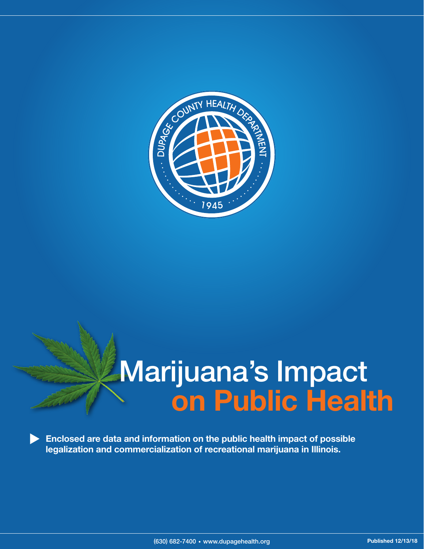

# Marijuana's Impact on Public Health

Enclosed are data and information on the public health impact of possible legalization and commercialization of recreational marijuana in Illinois.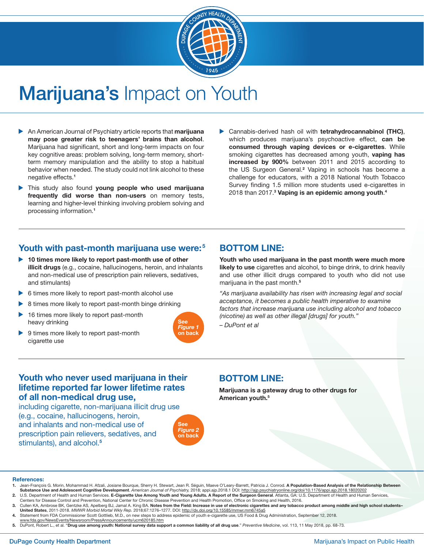

# Marijuana's Impact on Youth

- An American Journal of Psychiatry article reports that marijuana may pose greater risk to teenagers' brains than alcohol. Marijuana had significant, short and long-term impacts on four key cognitive areas: problem solving, long-term memory, shortterm memory manipulation and the ability to stop a habitual behavior when needed. The study could not link alcohol to these negative effects.<sup>1</sup>
- This study also found young people who used marijuana frequently did worse than non-users on memory tests, learning and higher-level thinking involving problem solving and processing information.<sup>1</sup>
- Cannabis-derived hash oil with tetrahydrocannabinol (THC), which produces marijuana's psychoactive effect, can be consumed through vaping devices or e-cigarettes. While smoking cigarettes has decreased among youth, vaping has increased by 900% between 2011 and 2015 according to the US Surgeon General.<sup>2</sup> Vaping in schools has become a challenge for educators, with a 2018 National Youth Tobacco Survey finding 1.5 million more students used e-cigarettes in 2018 than 2017.<sup>3</sup> Vaping is an epidemic among youth.<sup>4</sup>

#### Youth with past-month marijuana use were:<sup>5</sup>

- ▶ 10 times more likely to report past-month use of other illicit drugs (e.g., cocaine, hallucinogens, heroin, and inhalants and non-medical use of prescription pain relievers, sedatives, and stimulants)
- 6 times more likely to report past-month alcohol use
- 8 times more likely to report past-month binge drinking
- 16 times more likely to report past-month heavy drinking
- ▶ 9 times more likely to report past-month cigarette use



#### BOTTOM LINE:

Youth who used marijuana in the past month were much more likely to use cigarettes and alcohol, to binge drink, to drink heavily and use other illicit drugs compared to youth who did not use marijuana in the past month.<sup>5</sup>

*"As marijuana availability has risen with increasing legal and social acceptance, it becomes a public health imperative to examine factors that increase marijuana use including alcohol and tobacco (nicotine) as well as other illegal [drugs] for youth."*

*– DuPont et al*

#### Youth who never used marijuana in their lifetime reported far lower lifetime rates of all non-medical drug use,

including cigarette, non-marijuana illicit drug use

(e.g., cocaine, hallucinogens, heroin, and inhalants and non-medical use of prescription pain relievers, sedatives, and stimulants), and alcohol.<sup>5</sup>



#### BOTTOM LINE:

Marijuana is a gateway drug to other drugs for American youth.5

#### References:

- 1. Jean-François G. Morin, Mohammad H. Afzali, Josiane Bourque, Sherry H. Stewart, Jean R. Séguin, Maeve O'Leary-Barrett, Patricia J. Conrod. A Population-Based Analysis of the Relationship Between Substance Use and Adolescent Cognitive Development. American Journal of Psychiatry, 2018; appi.ajp.2018.1 DOI: http://ajp.psychiatryonline.org/doi/10.1176/appi.ajp.2018.18020202
- 2. U.S. Department of Health and Human Services. E-Cigarette Use Among Youth and Young Adults. A Report of the Surgeon General. Atlanta, GA: U.S. Department of Health and Human Services, Centers for Disease Control and Prevention, National Center for Chronic Disease Prevention and Health Promotion, Office on Smoking and Health, 2016.
- 3. Cullen KA, Ambrose BK, Gentzke AS, Apelberg BJ, Jamal A. King BA. Notes from the Field: Increase in use of electronic cigarettes and any tobacco product among middle and high school students-United States, 2011-2018. *MMWR Morbid Mortal Wkly Rep.* 2018;67:1276–1277. DOI: http://dx.doi.org/10.15585/mmwr.mm6745a5
- 4. Statement from FDA Commissioner Scott Gottlieb, M.D., on new steps to address epidemic of youth e-cigarette use, US Food & Drug Administration, September 12, 2018. www.fda.gov/NewsEvents/Newsroom/PressAnnouncements/ucm620185.htm
- 5. DuPont, Robert L., et al. "Drug use among youth: National survey data support a common liability of all drug use." *Preventive Medicine*, vol. 113, 11 May 2018, pp. 68-73.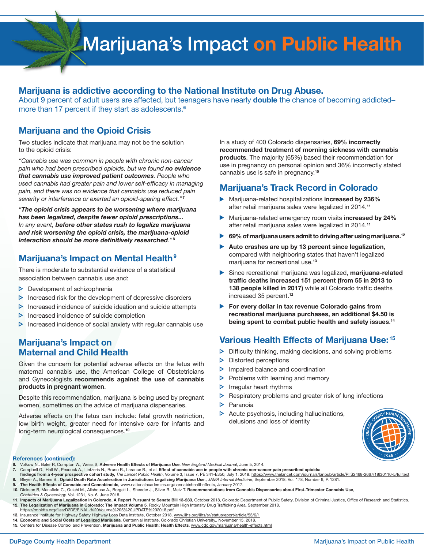# Marijuana's Impact on Public Health

#### Marijuana is addictive according to the National Institute on Drug Abuse.

About 9 percent of adult users are affected, but teenagers have nearly **double** the chance of becoming addictedmore than 17 percent if they start as adolescents.<sup>6</sup>

#### Marijuana and the Opioid Crisis

Two studies indicate that marijuana may not be the solution to the opioid crisis:

*"Cannabis use was common in people with chronic non-cancer pain who had been prescribed opioids, but we found no evidence that cannabis use improved patient outcomes. People who used cannabis had greater pain and lower self-efficacy in managing pain, and there was no evidence that cannabis use reduced pain severity or interference or exerted an opioid-sparing effect."* <sup>7</sup>

*"The opioid crisis appears to be worsening where marijuana has been legalized, despite fewer opioid prescriptions... In any event, before other states rush to legalize marijuana and risk worsening the opioid crisis, the marijuana-opioid interaction should be more definitively researched."* <sup>8</sup>

# Marijuana's Impact on Mental Health<sup>9</sup>

There is moderate to substantial evidence of a statistical association between cannabis use and:

- $\triangleright$  Development of schizophrenia
- $\triangleright$  Increased risk for the development of depressive disorders
- $\triangleright$  Increased incidence of suicide ideation and suicide attempts
- $\triangleright$  Increased incidence of suicide completion
- $\triangleright$  Increased incidence of social anxiety with regular cannabis use

#### Marijuana's Impact on Maternal and Child Health

Given the concern for potential adverse effects on the fetus with maternal cannabis use, the American College of Obstetricians and Gynecologists recommends against the use of cannabis products in pregnant women.

Despite this recommendation, marijuana is being used by pregnant women, sometimes on the advice of marijuana dispensaries.

Adverse effects on the fetus can include: fetal growth restriction, low birth weight, greater need for intensive care for infants and long-term neurological consequences.<sup>10</sup>

In a study of 400 Colorado dispensaries, 69% incorrectly recommended treatment of morning sickness with cannabis products. The majority (65%) based their recommendation for use in pregnancy on personal opinion and 36% incorrectly stated cannabis use is safe in pregnancy.<sup>10</sup>

### Marijuana's Track Record in Colorado

- Mariiuana-related hospitalizations increased by 236% after retail marijuana sales were legalized in 2014.<sup>11</sup>
- Marijuana-related emergency room visits increased by 24% after retail marijuana sales were legalized in 2014.<sup>11</sup>
- 69% of marijuana users admit to driving after using marijuana.<sup>12</sup>
- Auto crashes are up by 13 percent since legalization, compared with neighboring states that haven't legalized marijuana for recreational use.<sup>13</sup>
- Since recreational marijuana was legalized, marijuana-related traffic deaths increased 151 percent (from 55 in 2013 to 138 people killed in 2017) while all Colorado traffic deaths increased 35 percent.<sup>12</sup>
- ▶ For every dollar in tax revenue Colorado gains from recreational marijuana purchases, an additional \$4.50 is being spent to combat public health and safety issues.<sup>14</sup>

### Various Health Effects of Marijuana Use: <sup>15</sup>

- $\triangleright$ Difficulty thinking, making decisions, and solving problems
- Distorted perceptions ⊳
- $\triangleright$ Impaired balance and coordination
- $\triangleright$ Problems with learning and memory
- $\triangleright$ Irregular heart rhythms
- ь Respiratory problems and greater risk of lung infections
- Ь Paranoia
- Acute psychosis, including hallucinations,  $\triangleright$ delusions and loss of identity



#### References (continued):

- 6. Volkow N.. Baler R, Compton W., Weiss S, Adverse Health Effects of Marijuana Use, *New England Medical Journal*, June 5, 2014.
- 7. Campbell G., Hall W., Peacock A., Lintzeris N., Bruno R., Larance B., et al. Effect of cannabis use in people with chronic non-cancer pain prescribed opioids:
- findings from a 4-year prospective cohort study, The Lancet Public Health, Volume 3, Issue 7, PE 341-E350, July 1, 2018. https://www.thelancet.com/journals/lanpub/article/PIIS2468-2667(18)30110-5/fulltext 8. Bleyer A., Barnes B., Opioid Death Rate Acceleration in Jurisdictions Legalizing Marijuana Use., *JAMA Internal Medicine*, September 2018, Vol. 178, Number 9, P. 1281.
- 9. The Health Effects of Cannabis and Cannabinoids*,* www.nationalacademies.org/cannabishealtheffects, January 2017.
- 10. Dickson B, Mansfield C., Guiahi M., Allshouse A., Borgelt L., Sheeder J., Silver R., Metz T. Recommendations from Cannabis Dispensaries about First-Trimester Cannabis Use, *Obstetrics & Gynecology,* Vol. 1231, No. 6, June 2018.
- 11. Impacts of Marijuana Legalization in Colorado, A Report Pursuant to Senate Bill 13-283, October 2018, Colorado Department of Public Safety, Division of Criminal Justice, Office of Research and Statistics. 12. The Legalization of Marijuana in Colorado: The Impact Volume 5, Rocky Mountain High Intensity Drug Trafficking Area, September 2018.
- https://rmhidta.org/files/D2DF/FINAL-%20Volume%205%20UPDATE%202018.pdf
- 13. Insurance Institute for Highway Safety Highway Loss Data Institute, October 2018. www.iihs.org/iihs/sr/statusreport/article/53/6/1 14. Economic and Social Costs of Legalized Marijuana, Centennial Institute, Colorado Christian University., November 15, 2018.
- 15. Centers for Disease Control and Prevention. Marijuana and Public Health: Health Effects. www.cdc.gov/marijuana/health-effects.html